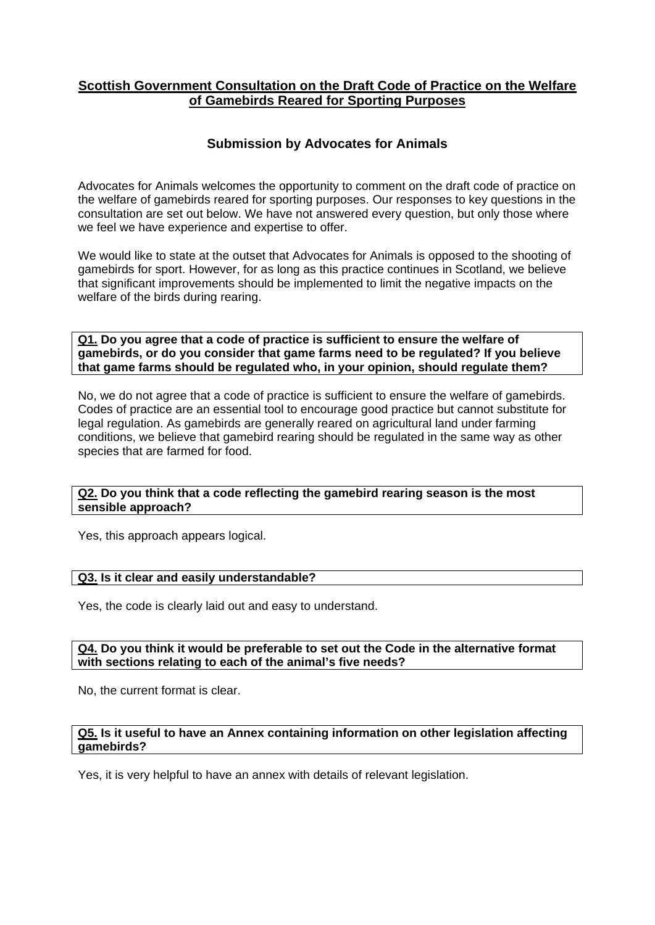# **Scottish Government Consultation on the Draft Code of Practice on the Welfare of Gamebirds Reared for Sporting Purposes**

# **Submission by Advocates for Animals**

Advocates for Animals welcomes the opportunity to comment on the draft code of practice on the welfare of gamebirds reared for sporting purposes. Our responses to key questions in the consultation are set out below. We have not answered every question, but only those where we feel we have experience and expertise to offer.

We would like to state at the outset that Advocates for Animals is opposed to the shooting of gamebirds for sport. However, for as long as this practice continues in Scotland, we believe that significant improvements should be implemented to limit the negative impacts on the welfare of the birds during rearing.

**Q1. Do you agree that a code of practice is sufficient to ensure the welfare of gamebirds, or do you consider that game farms need to be regulated? If you believe that game farms should be regulated who, in your opinion, should regulate them?**

No, we do not agree that a code of practice is sufficient to ensure the welfare of gamebirds. Codes of practice are an essential tool to encourage good practice but cannot substitute for legal regulation. As gamebirds are generally reared on agricultural land under farming conditions, we believe that gamebird rearing should be regulated in the same way as other species that are farmed for food.

### **Q2. Do you think that a code reflecting the gamebird rearing season is the most sensible approach?**

Yes, this approach appears logical.

### **Q3. Is it clear and easily understandable?**

Yes, the code is clearly laid out and easy to understand.

## **Q4. Do you think it would be preferable to set out the Code in the alternative format with sections relating to each of the animal's five needs?**

No, the current format is clear.

### **Q5. Is it useful to have an Annex containing information on other legislation affecting gamebirds?**

Yes, it is very helpful to have an annex with details of relevant legislation.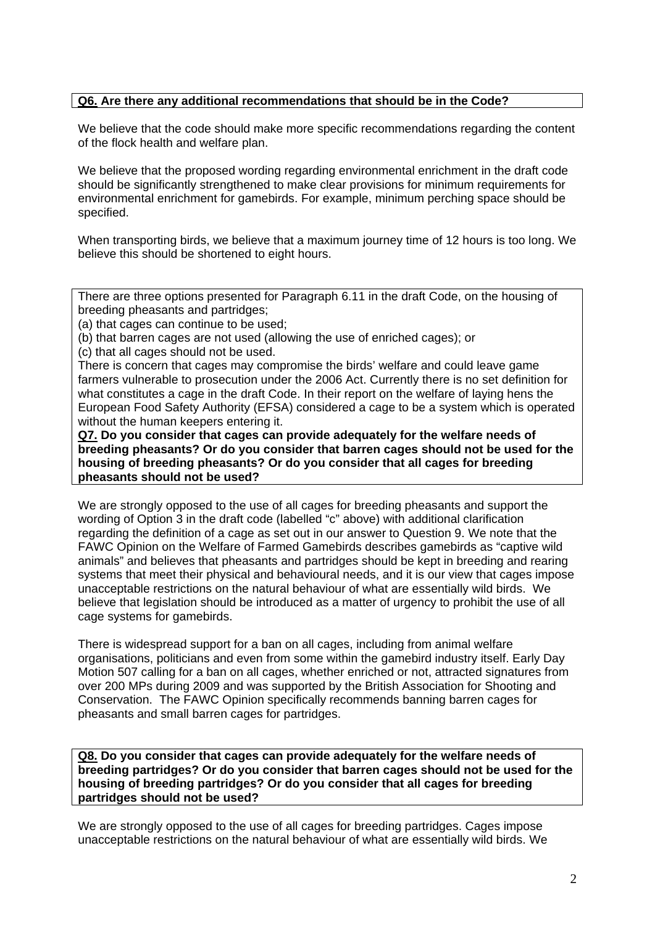## **Q6. Are there any additional recommendations that should be in the Code?**

We believe that the code should make more specific recommendations regarding the content of the flock health and welfare plan.

We believe that the proposed wording regarding environmental enrichment in the draft code should be significantly strengthened to make clear provisions for minimum requirements for environmental enrichment for gamebirds. For example, minimum perching space should be specified.

When transporting birds, we believe that a maximum journey time of 12 hours is too long. We believe this should be shortened to eight hours.

There are three options presented for Paragraph 6.11 in the draft Code, on the housing of breeding pheasants and partridges;

(a) that cages can continue to be used;

(b) that barren cages are not used (allowing the use of enriched cages); or

(c) that all cages should not be used.

There is concern that cages may compromise the birds' welfare and could leave game farmers vulnerable to prosecution under the 2006 Act. Currently there is no set definition for what constitutes a cage in the draft Code. In their report on the welfare of laying hens the European Food Safety Authority (EFSA) considered a cage to be a system which is operated without the human keepers entering it.

**Q7. Do you consider that cages can provide adequately for the welfare needs of breeding pheasants? Or do you consider that barren cages should not be used for the housing of breeding pheasants? Or do you consider that all cages for breeding pheasants should not be used?**

We are strongly opposed to the use of all cages for breeding pheasants and support the wording of Option 3 in the draft code (labelled "c" above) with additional clarification regarding the definition of a cage as set out in our answer to Question 9. We note that the FAWC Opinion on the Welfare of Farmed Gamebirds describes gamebirds as "captive wild animals" and believes that pheasants and partridges should be kept in breeding and rearing systems that meet their physical and behavioural needs, and it is our view that cages impose unacceptable restrictions on the natural behaviour of what are essentially wild birds. We believe that legislation should be introduced as a matter of urgency to prohibit the use of all cage systems for gamebirds.

There is widespread support for a ban on all cages, including from animal welfare organisations, politicians and even from some within the gamebird industry itself. Early Day Motion 507 calling for a ban on all cages, whether enriched or not, attracted signatures from over 200 MPs during 2009 and was supported by the British Association for Shooting and Conservation. The FAWC Opinion specifically recommends banning barren cages for pheasants and small barren cages for partridges.

**Q8. Do you consider that cages can provide adequately for the welfare needs of breeding partridges? Or do you consider that barren cages should not be used for the housing of breeding partridges? Or do you consider that all cages for breeding partridges should not be used?**

We are strongly opposed to the use of all cages for breeding partridges. Cages impose unacceptable restrictions on the natural behaviour of what are essentially wild birds. We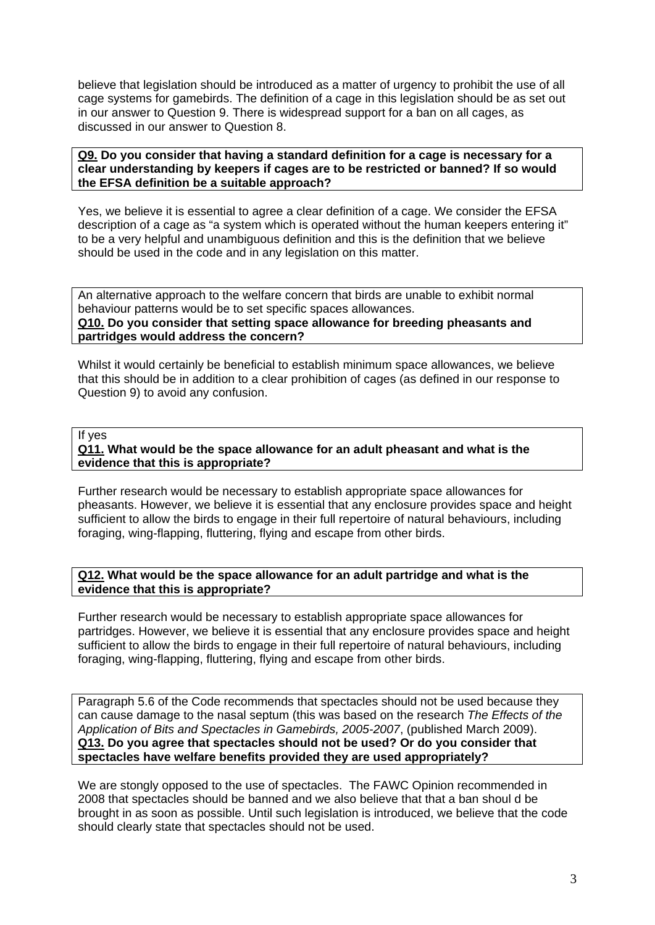believe that legislation should be introduced as a matter of urgency to prohibit the use of all cage systems for gamebirds. The definition of a cage in this legislation should be as set out in our answer to Question 9. There is widespread support for a ban on all cages, as discussed in our answer to Question 8.

### **Q9. Do you consider that having a standard definition for a cage is necessary for a clear understanding by keepers if cages are to be restricted or banned? If so would the EFSA definition be a suitable approach?**

Yes, we believe it is essential to agree a clear definition of a cage. We consider the EFSA description of a cage as "a system which is operated without the human keepers entering it" to be a very helpful and unambiguous definition and this is the definition that we believe should be used in the code and in any legislation on this matter.

An alternative approach to the welfare concern that birds are unable to exhibit normal behaviour patterns would be to set specific spaces allowances. **Q10. Do you consider that setting space allowance for breeding pheasants and**

### **partridges would address the concern?**

Whilst it would certainly be beneficial to establish minimum space allowances, we believe that this should be in addition to a clear prohibition of cages (as defined in our response to Question 9) to avoid any confusion.

### If yes

## **Q11. What would be the space allowance for an adult pheasant and what is the evidence that this is appropriate?**

Further research would be necessary to establish appropriate space allowances for pheasants. However, we believe it is essential that any enclosure provides space and height sufficient to allow the birds to engage in their full repertoire of natural behaviours, including foraging, wing-flapping, fluttering, flying and escape from other birds.

## **Q12. What would be the space allowance for an adult partridge and what is the evidence that this is appropriate?**

Further research would be necessary to establish appropriate space allowances for partridges. However, we believe it is essential that any enclosure provides space and height sufficient to allow the birds to engage in their full repertoire of natural behaviours, including foraging, wing-flapping, fluttering, flying and escape from other birds.

Paragraph 5.6 of the Code recommends that spectacles should not be used because they can cause damage to the nasal septum (this was based on the research *The Effects of the Application of Bits and Spectacles in Gamebirds, 2005-2007*, (published March 2009). **Q13. Do you agree that spectacles should not be used? Or do you consider that spectacles have welfare benefits provided they are used appropriately?**

We are stongly opposed to the use of spectacles. The FAWC Opinion recommended in 2008 that spectacles should be banned and we also believe that that a ban shoul d be brought in as soon as possible. Until such legislation is introduced, we believe that the code should clearly state that spectacles should not be used.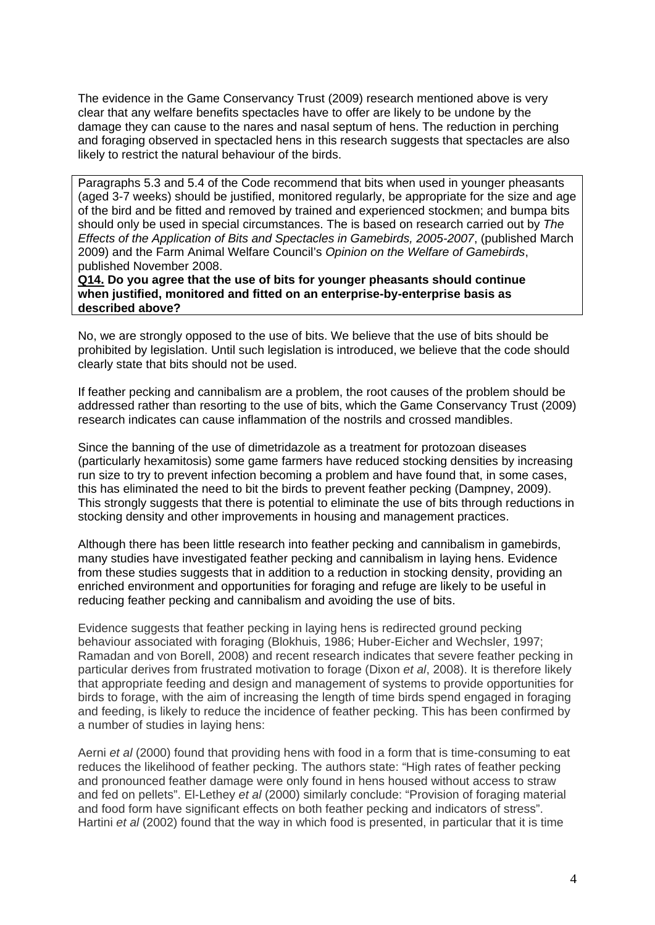The evidence in the Game Conservancy Trust (2009) research mentioned above is very clear that any welfare benefits spectacles have to offer are likely to be undone by the damage they can cause to the nares and nasal septum of hens. The reduction in perching and foraging observed in spectacled hens in this research suggests that spectacles are also likely to restrict the natural behaviour of the birds.

Paragraphs 5.3 and 5.4 of the Code recommend that bits when used in younger pheasants (aged 3-7 weeks) should be justified, monitored regularly, be appropriate for the size and age of the bird and be fitted and removed by trained and experienced stockmen; and bumpa bits should only be used in special circumstances. The is based on research carried out by *The Effects of the Application of Bits and Spectacles in Gamebirds, 2005-2007*, (published March 2009) and the Farm Animal Welfare Council's *Opinion on the Welfare of Gamebirds*, published November 2008.

**Q14. Do you agree that the use of bits for younger pheasants should continue when justified, monitored and fitted on an enterprise-by-enterprise basis as described above?**

No, we are strongly opposed to the use of bits. We believe that the use of bits should be prohibited by legislation. Until such legislation is introduced, we believe that the code should clearly state that bits should not be used.

If feather pecking and cannibalism are a problem, the root causes of the problem should be addressed rather than resorting to the use of bits, which the Game Conservancy Trust (2009) research indicates can cause inflammation of the nostrils and crossed mandibles.

Since the banning of the use of dimetridazole as a treatment for protozoan diseases (particularly hexamitosis) some game farmers have reduced stocking densities by increasing run size to try to prevent infection becoming a problem and have found that, in some cases, this has eliminated the need to bit the birds to prevent feather pecking (Dampney, 2009). This strongly suggests that there is potential to eliminate the use of bits through reductions in stocking density and other improvements in housing and management practices.

Although there has been little research into feather pecking and cannibalism in gamebirds, many studies have investigated feather pecking and cannibalism in laying hens. Evidence from these studies suggests that in addition to a reduction in stocking density, providing an enriched environment and opportunities for foraging and refuge are likely to be useful in reducing feather pecking and cannibalism and avoiding the use of bits.

Evidence suggests that feather pecking in laying hens is redirected ground pecking behaviour associated with foraging (Blokhuis, 1986; Huber-Eicher and Wechsler, 1997; Ramadan and von Borell, 2008) and recent research indicates that severe feather pecking in particular derives from frustrated motivation to forage (Dixon *et al*, 2008). It is therefore likely that appropriate feeding and design and management of systems to provide opportunities for birds to forage, with the aim of increasing the length of time birds spend engaged in foraging and feeding, is likely to reduce the incidence of feather pecking. This has been confirmed by a number of studies in laying hens:

Aerni *et al* (2000) found that providing hens with food in a form that is time-consuming to eat reduces the likelihood of feather pecking. The authors state: "High rates of feather pecking and pronounced feather damage were only found in hens housed without access to straw and fed on pellets". El-Lethey *et al* (2000) similarly conclude: "Provision of foraging material and food form have significant effects on both feather pecking and indicators of stress". Hartini *et al* (2002) found that the way in which food is presented, in particular that it is time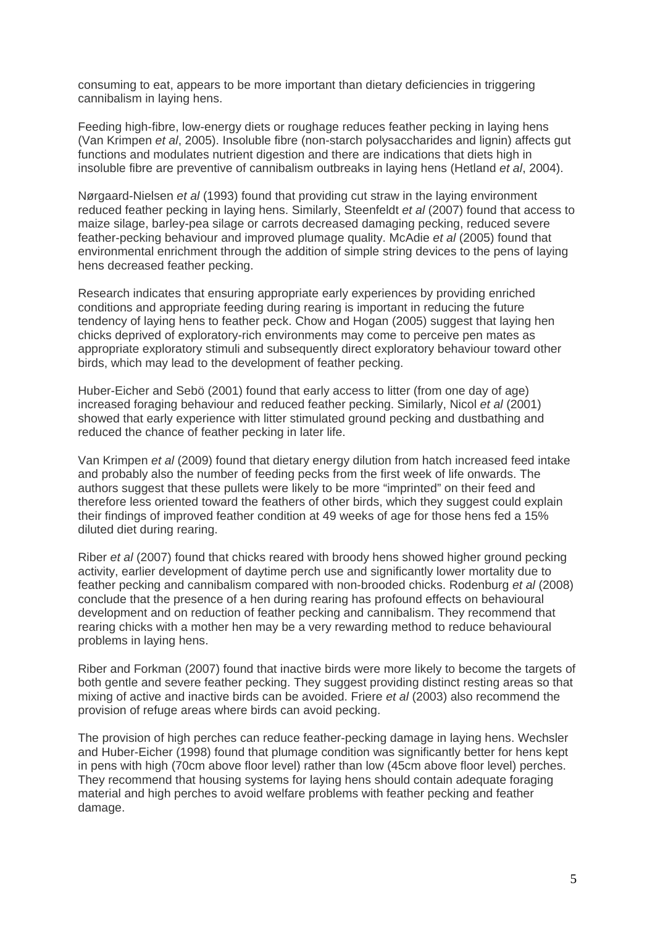consuming to eat, appears to be more important than dietary deficiencies in triggering cannibalism in laying hens.

Feeding high-fibre, low-energy diets or roughage reduces feather pecking in laying hens (Van Krimpen *et al*, 2005). Insoluble fibre (non-starch polysaccharides and lignin) affects gut functions and modulates nutrient digestion and there are indications that diets high in insoluble fibre are preventive of cannibalism outbreaks in laying hens (Hetland *et al*, 2004).

Nørgaard-Nielsen *et al* (1993) found that providing cut straw in the laying environment reduced feather pecking in laying hens. Similarly, Steenfeldt *et al* (2007) found that access to maize silage, barley-pea silage or carrots decreased damaging pecking, reduced severe feather-pecking behaviour and improved plumage quality. McAdie *et al* (2005) found that environmental enrichment through the addition of simple string devices to the pens of laying hens decreased feather pecking.

Research indicates that ensuring appropriate early experiences by providing enriched conditions and appropriate feeding during rearing is important in reducing the future tendency of laying hens to feather peck. Chow and Hogan (2005) suggest that laying hen chicks deprived of exploratory-rich environments may come to perceive pen mates as appropriate exploratory stimuli and subsequently direct exploratory behaviour toward other birds, which may lead to the development of feather pecking.

Huber-Eicher and Sebö (2001) found that early access to litter (from one day of age) increased foraging behaviour and reduced feather pecking. Similarly, Nicol *et al* (2001) showed that early experience with litter stimulated ground pecking and dustbathing and reduced the chance of feather pecking in later life.

Van Krimpen *et al* (2009) found that dietary energy dilution from hatch increased feed intake and probably also the number of feeding pecks from the first week of life onwards. The authors suggest that these pullets were likely to be more "imprinted" on their feed and therefore less oriented toward the feathers of other birds, which they suggest could explain their findings of improved feather condition at 49 weeks of age for those hens fed a 15% diluted diet during rearing.

Riber *et al* (2007) found that chicks reared with broody hens showed higher ground pecking activity, earlier development of daytime perch use and significantly lower mortality due to feather pecking and cannibalism compared with non-brooded chicks. Rodenburg *et al* (2008) conclude that the presence of a hen during rearing has profound effects on behavioural development and on reduction of feather pecking and cannibalism. They recommend that rearing chicks with a mother hen may be a very rewarding method to reduce behavioural problems in laying hens.

Riber and Forkman (2007) found that inactive birds were more likely to become the targets of both gentle and severe feather pecking. They suggest providing distinct resting areas so that mixing of active and inactive birds can be avoided. Friere *et al* (2003) also recommend the provision of refuge areas where birds can avoid pecking.

The provision of high perches can reduce feather-pecking damage in laying hens. Wechsler and Huber-Eicher (1998) found that plumage condition was significantly better for hens kept in pens with high (70cm above floor level) rather than low (45cm above floor level) perches. They recommend that housing systems for laying hens should contain adequate foraging material and high perches to avoid welfare problems with feather pecking and feather damage.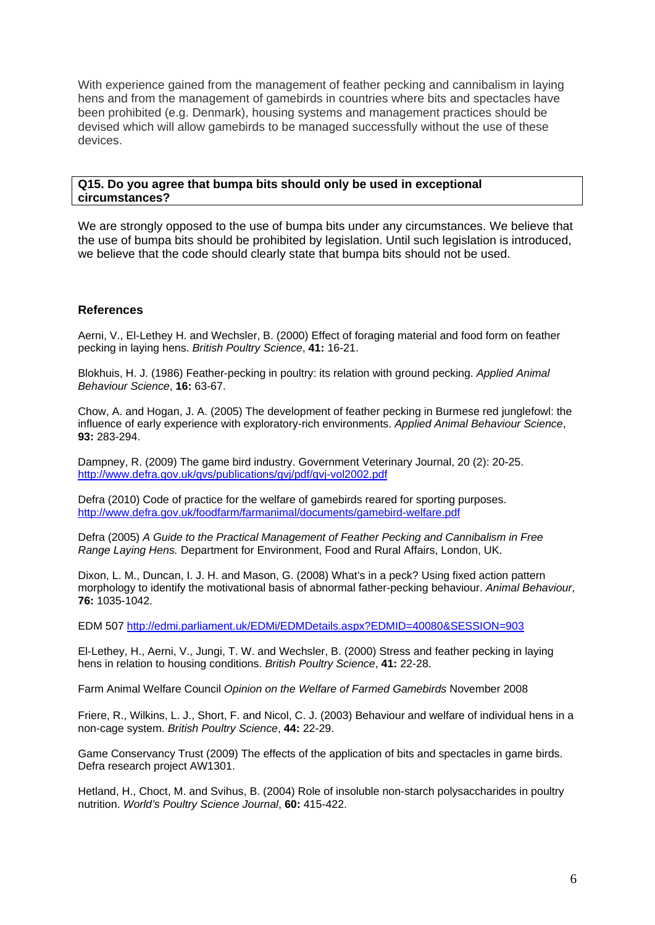With experience gained from the management of feather pecking and cannibalism in laying hens and from the management of gamebirds in countries where bits and spectacles have been prohibited (e.g. Denmark), housing systems and management practices should be devised which will allow gamebirds to be managed successfully without the use of these devices.

### **Q15. Do you agree that bumpa bits should only be used in exceptional circumstances?**

We are strongly opposed to the use of bumpa bits under any circumstances. We believe that the use of bumpa bits should be prohibited by legislation. Until such legislation is introduced, we believe that the code should clearly state that bumpa bits should not be used.

### **References**

Aerni, V., El-Lethey H. and Wechsler, B. (2000) Effect of foraging material and food form on feather pecking in laying hens. *British Poultry Science*, **41:** 16-21.

Blokhuis, H. J. (1986) Feather-pecking in poultry: its relation with ground pecking. *Applied Animal Behaviour Science*, **16:** 63-67.

Chow, A. and Hogan, J. A. (2005) The development of feather pecking in Burmese red junglefowl: the influence of early experience with exploratory-rich environments. *Applied Animal Behaviour Science*, **93:** 283-294.

Dampney, R. (2009) The game bird industry. Government Veterinary Journal, 20 (2): 20-25. <http://www.defra.gov.uk/gvs/publications/gvj/pdf/gvj-vol2002.pdf>

Defra (2010) Code of practice for the welfare of gamebirds reared for sporting purposes. <http://www.defra.gov.uk/foodfarm/farmanimal/documents/gamebird-welfare.pdf>

Defra (2005) *A Guide to the Practical Management of Feather Pecking and Cannibalism in Free Range Laying Hens.* Department for Environment, Food and Rural Affairs, London, UK.

Dixon, L. M., Duncan, I. J. H. and Mason, G. (2008) What's in a peck? Using fixed action pattern morphology to identify the motivational basis of abnormal father-pecking behaviour. *Animal Behaviour*, **76:** 1035-1042.

EDM 507 <http://edmi.parliament.uk/EDMi/EDMDetails.aspx?EDMID=40080&SESSION=903>

El-Lethey, H., Aerni, V., Jungi, T. W. and Wechsler, B. (2000) Stress and feather pecking in laying hens in relation to housing conditions. *British Poultry Science*, **41:** 22-28.

Farm Animal Welfare Council *Opinion on the Welfare of Farmed Gamebirds* November 2008

Friere, R., Wilkins, L. J., Short, F. and Nicol, C. J. (2003) Behaviour and welfare of individual hens in a non-cage system. *British Poultry Science*, **44:** 22-29.

Game Conservancy Trust (2009) The effects of the application of bits and spectacles in game birds. Defra research project AW1301.

Hetland, H., Choct, M. and Svihus, B. (2004) Role of insoluble non-starch polysaccharides in poultry nutrition. *World's Poultry Science Journal*, **60:** 415-422.